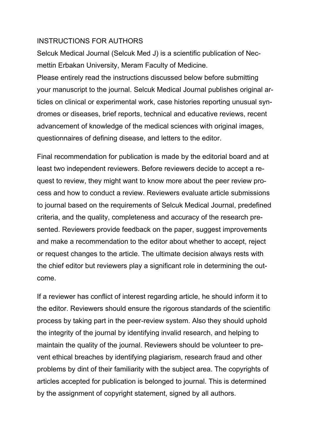## INSTRUCTIONS FOR AUTHORS

Selcuk Medical Journal (Selcuk Med J) is a scientific publication of Necmettin Erbakan University, Meram Faculty of Medicine.

Please entirely read the instructions discussed below before submitting your manuscript to the journal. Selcuk Medical Journal publishes original articles on clinical or experimental work, case histories reporting unusual syndromes or diseases, brief reports, technical and educative reviews, recent advancement of knowledge of the medical sciences with original images, questionnaires of defining disease, and letters to the editor.

Final recommendation for publication is made by the editorial board and at least two independent reviewers. Before reviewers decide to accept a request to review, they might want to know more about the peer review process and how to conduct a review. Reviewers evaluate article submissions to journal based on the requirements of Selcuk Medical Journal, predefined criteria, and the quality, completeness and accuracy of the research presented. Reviewers provide feedback on the paper, suggest improvements and make a recommendation to the editor about whether to accept, reject or request changes to the article. The ultimate decision always rests with the chief editor but reviewers play a significant role in determining the outcome.

If a reviewer has conflict of interest regarding article, he should inform it to the editor. Reviewers should ensure the rigorous standards of the scientific process by taking part in the peer-review system. Also they should uphold the integrity of the journal by identifying invalid research, and helping to maintain the quality of the journal. Reviewers should be volunteer to prevent ethical breaches by identifying plagiarism, research fraud and other problems by dint of their familiarity with the subject area. The copyrights of articles accepted for publication is belonged to journal. This is determined by the assignment of copyright statement, signed by all authors.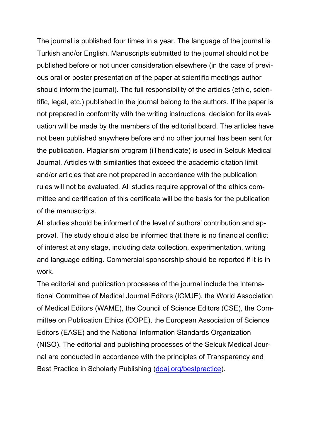The journal is published four times in a year. The language of the journal is Turkish and/or English. Manuscripts submitted to the journal should not be published before or not under consideration elsewhere (in the case of previous oral or poster presentation of the paper at scientific meetings author should inform the journal). The full responsibility of the articles (ethic, scientific, legal, etc.) published in the journal belong to the authors. If the paper is not prepared in conformity with the writing instructions, decision for its evaluation will be made by the members of the editorial board. The articles have not been published anywhere before and no other journal has been sent for the publication. Plagiarism program (iThendicate) is used in Selcuk Medical Journal. Articles with similarities that exceed the academic citation limit and/or articles that are not prepared in accordance with the publication rules will not be evaluated. All studies require approval of the ethics committee and certification of this certificate will be the basis for the publication of the manuscripts.

All studies should be informed of the level of authors' contribution and approval. The study should also be informed that there is no financial conflict of interest at any stage, including data collection, experimentation, writing and language editing. Commercial sponsorship should be reported if it is in work.

The editorial and publication processes of the journal include the International Committee of Medical Journal Editors (ICMJE), the World Association of Medical Editors (WAME), the Council of Science Editors (CSE), the Committee on Publication Ethics (COPE), the European Association of Science Editors (EASE) and the National Information Standards Organization (NISO). The editorial and publishing processes of the Selcuk Medical Journal are conducted in accordance with the principles of Transparency and Best Practice in Scholarly Publishing [\(doaj.org/bestpractice\)](http://doaj.org/bestpractice).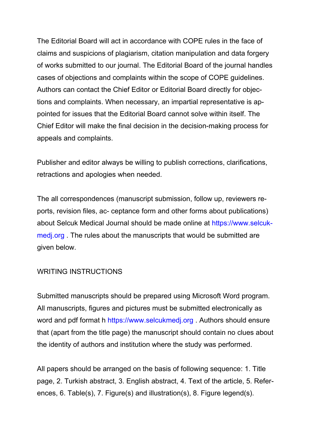The Editorial Board will act in accordance with COPE rules in the face of claims and suspicions of plagiarism, citation manipulation and data forgery of works submitted to our journal. The Editorial Board of the journal handles cases of objections and complaints within the scope of COPE guidelines. Authors can contact the Chief Editor or Editorial Board directly for objections and complaints. When necessary, an impartial representative is appointed for issues that the Editorial Board cannot solve within itself. The Chief Editor will make the final decision in the decision-making process for appeals and complaints.

Publisher and editor always be willing to publish corrections, clarifications, retractions and apologies when needed.

The all correspondences (manuscript submission, follow up, reviewers reports, revision files, ac- ceptance form and other forms about publications) about Selcuk Medical Journal should be made online at https://www.selcukmedj.org . The rules about the manuscripts that would be submitted are given below.

### WRITING INSTRUCTIONS

Submitted manuscripts should be prepared using Microsoft Word program. All manuscripts, figures and pictures must be submitted electronically as word and pdf format h https://www.selcukmedj.org. Authors should ensure that (apart from the title page) the manuscript should contain no clues about the identity of authors and institution where the study was performed.

All papers should be arranged on the basis of following sequence: 1. Title page, 2. Turkish abstract, 3. English abstract, 4. Text of the article, 5. References, 6. Table(s), 7. Figure(s) and illustration(s), 8. Figure legend(s).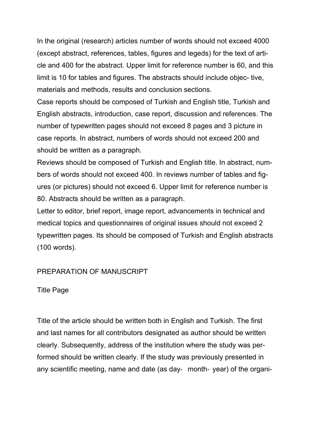In the original (research) articles number of words should not exceed 4000 (except abstract, references, tables, figures and legeds) for the text of article and 400 for the abstract. Upper limit for reference number is 60, and this limit is 10 for tables and figures. The abstracts should include objec- tive, materials and methods, results and conclusion sections.

Case reports should be composed of Turkish and English title, Turkish and English abstracts, introduction, case report, discussion and references. The number of typewritten pages should not exceed 8 pages and 3 picture in case reports. In abstract, numbers of words should not exceed 200 and should be written as a paragraph.

Reviews should be composed of Turkish and English title. In abstract, numbers of words should not exceed 400. In reviews number of tables and figures (or pictures) should not exceed 6. Upper limit for reference number is 80. Abstracts should be written as a paragraph.

Letter to editor, brief report, image report, advancements in technical and medical topics and questionnaires of original issues should not exceed 2 typewritten pages. Its should be composed of Turkish and English abstracts (100 words).

## PREPARATION OF MANUSCRIPT

## Title Page

Title of the article should be written both in English and Turkish. The first and last names for all contributors designated as author should be written clearly. Subsequently, address of the institution where the study was performed should be written clearly. If the study was previously presented in any scientific meeting, name and date (as day‐ month‐ year) of the organi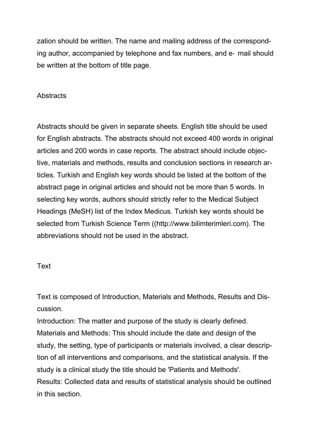zation should be written. The name and mailing address of the corresponding author, accompanied by telephone and fax numbers, and e‐ mail should be written at the bottom of title page.

## **Abstracts**

Abstracts should be given in separate sheets. English title should be used for English abstracts. The abstracts should not exceed 400 words in original articles and 200 words in case reports. The abstract should include objective, materials and methods, results and conclusion sections in research articles. Turkish and English key words should be listed at the bottom of the abstract page in original articles and should not be more than 5 words. In selecting key words, authors should strictly refer to the Medical Subject Headings (MeSH) list of the Index Medicus. Turkish key words should be selected from Turkish Science Term ((http://www.bilimterimleri.com). The abbreviations should not be used in the abstract.

## Text

Text is composed of Introduction, Materials and Methods, Results and Discussion.

Introduction: The matter and purpose of the study is clearly defined. Materials and Methods: This should include the date and design of the study, the setting, type of participants or materials involved, a clear description of all interventions and comparisons, and the statistical analysis. If the study is a clinical study the title should be 'Patients and Methods'. Results: Collected data and results of statistical analysis should be outlined in this section.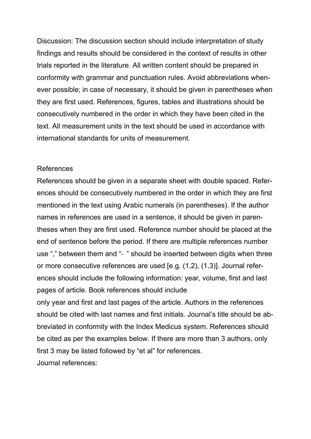Discussion: The discussion section should include interpretation of study findings and results should be considered in the context of results in other trials reported in the literature. All written content should be prepared in conformity with grammar and punctuation rules. Avoid abbreviations whenever possible; in case of necessary, it should be given in parentheses when they are first used. References, figures, tables and illustrations should be consecutively numbered in the order in which they have been cited in the text. All measurement units in the text should be used in accordance with international standards for units of measurement.

#### References

References should be given in a separate sheet with double spaced. References should be consecutively numbered in the order in which they are first mentioned in the text using Arabic numerals (in parentheses). If the author names in references are used in a sentence, it should be given in parentheses when they are first used. Reference number should be placed at the end of sentence before the period. If there are multiple references number use "," between them and "‐ " should be inserted between digits when three or more consecutive references are used [e.g. (1,2), (1,3)]. Journal references should include the following information: year, volume, first and last pages of article. Book references should include

only year and first and last pages of the article. Authors in the references should be cited with last names and first initials. Journal's title should be abbreviated in conformity with the Index Medicus system. References should be cited as per the examples below. If there are more than 3 authors, only first 3 may be listed followed by "et al" for references. Journal references: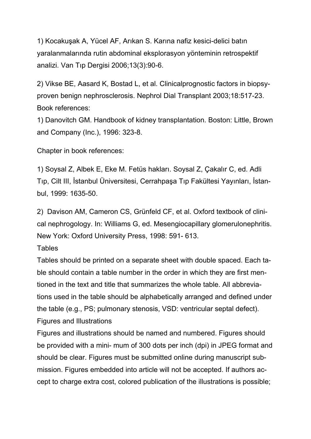1) Kocakuşak A, Yücel AF, Arıkan S. Karına nafiz kesici-delici batın yaralanmalarında rutin abdominal eksplorasyon yönteminin retrospektif analizi. Van Tıp Dergisi 2006;13(3):90-6.

2) Vikse BE, Aasard K, Bostad L, et al. Clinicalprognostic factors in biopsyproven benign nephrosclerosis. Nephrol Dial Transplant 2003;18:517-23. Book references:

1) Danovitch GM. Handbook of kidney transplantation. Boston: Little, Brown and Company (Inc.), 1996: 323-8.

Chapter in book references:

1) Soysal Z, Albek E, Eke M. Fetüs hakları. Soysal Z, Çakalır C, ed. Adli Tıp, Cilt III, İstanbul Üniversitesi, Cerrahpaşa Tıp Fakültesi Yayınları, İstanbul, 1999: 1635-50.

2) Davison AM, Cameron CS, Grünfeld CF, et al. Oxford textbook of clinical nephrogology. In: Williams G, ed. Mesengiocapillary glomerulonephritis. New York: Oxford University Press, 1998: 591- 613.

## **Tables**

Tables should be printed on a separate sheet with double spaced. Each table should contain a table number in the order in which they are first mentioned in the text and title that summarizes the whole table. All abbreviations used in the table should be alphabetically arranged and defined under the table (e.g., PS; pulmonary stenosis, VSD: ventricular septal defect). Figures and Illustrations

Figures and illustrations should be named and numbered. Figures should be provided with a mini- mum of 300 dots per inch (dpi) in JPEG format and should be clear. Figures must be submitted online during manuscript submission. Figures embedded into article will not be accepted. If authors accept to charge extra cost, colored publication of the illustrations is possible;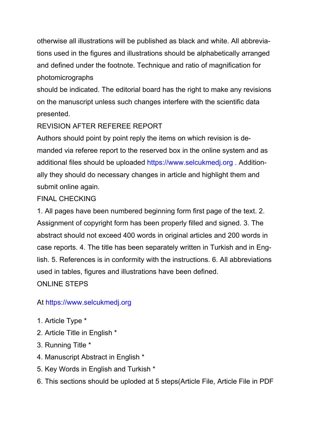otherwise all illustrations will be published as black and white. All abbreviations used in the figures and illustrations should be alphabetically arranged and defined under the footnote. Technique and ratio of magnification for photomicrographs

should be indicated. The editorial board has the right to make any revisions on the manuscript unless such changes interfere with the scientific data presented.

## REVISION AFTER REFEREE REPORT

Authors should point by point reply the items on which revision is demanded via referee report to the reserved box in the online system and as additional files should be uploaded https://www.selcukmedj.org . Additionally they should do necessary changes in article and highlight them and submit online again.

## FINAL CHECKING

1. All pages have been numbered beginning form first page of the text. 2. Assignment of copyright form has been properly filled and signed. 3. The abstract should not exceed 400 words in original articles and 200 words in case reports. 4. The title has been separately written in Turkish and in English. 5. References is in conformity with the instructions. 6. All abbreviations used in tables, figures and illustrations have been defined.

ONLINE STEPS

# At https://www.selcukmedj.org

- 1. Article Type \*
- 2. Article Title in English \*
- 3. Running Title \*
- 4. Manuscript Abstract in English \*
- 5. Key Words in English and Turkish \*
- 6. This sections should be uploded at 5 steps(Article File, Article File in PDF